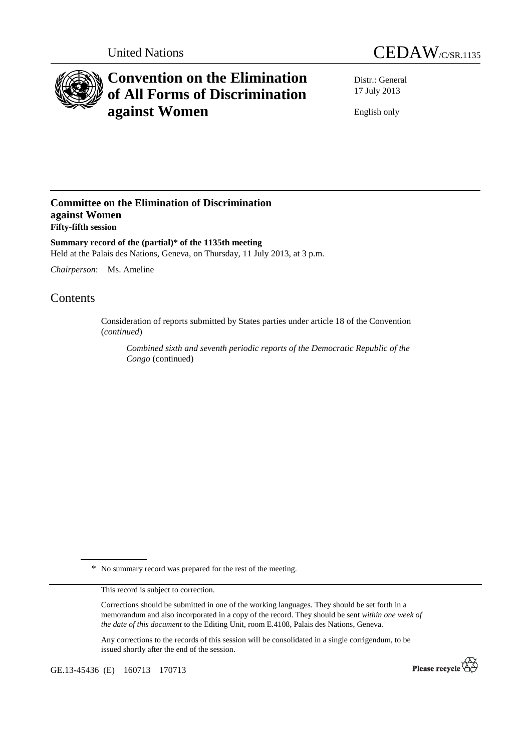



# **Convention on the Elimination of All Forms of Discrimination against Women**

Distr.: General 17 July 2013

English only

## **Committee on the Elimination of Discrimination against Women Fifty-fifth session**

**Summary record of the (partial)**\* **of the 1135th meeting**  Held at the Palais des Nations, Geneva, on Thursday, 11 July 2013, at 3 p.m.

*Chairperson*: Ms. Ameline

## Contents

Consideration of reports submitted by States parties under article 18 of the Convention (*continued*)

*Combined sixth and seventh periodic reports of the Democratic Republic of the Congo* (continued)

\* No summary record was prepared for the rest of the meeting.

This record is subject to correction.

Corrections should be submitted in one of the working languages. They should be set forth in a memorandum and also incorporated in a copy of the record. They should be sent *within one week of the date of this document* to the Editing Unit, room E.4108, Palais des Nations, Geneva.

Any corrections to the records of this session will be consolidated in a single corrigendum, to be issued shortly after the end of the session.

GE.13-45436 (E) 160713 170713

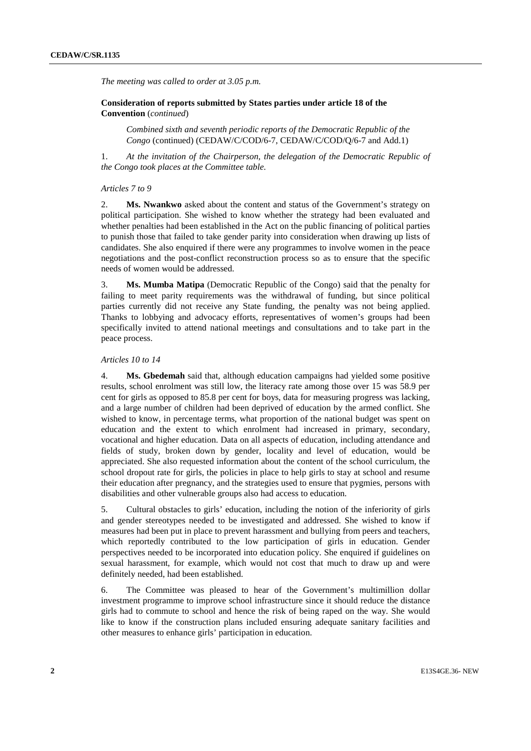*The meeting was called to order at 3.05 p.m.* 

### **Consideration of reports submitted by States parties under article 18 of the Convention** (*continued*)

*Combined sixth and seventh periodic reports of the Democratic Republic of the Congo* (continued) (CEDAW/C/COD/6-7, CEDAW/C/COD/Q/6-7 and Add.1)

1. *At the invitation of the Chairperson, the delegation of the Democratic Republic of the Congo took places at the Committee table.* 

#### *Articles 7 to 9*

2. **Ms. Nwankwo** asked about the content and status of the Government's strategy on political participation. She wished to know whether the strategy had been evaluated and whether penalties had been established in the Act on the public financing of political parties to punish those that failed to take gender parity into consideration when drawing up lists of candidates. She also enquired if there were any programmes to involve women in the peace negotiations and the post-conflict reconstruction process so as to ensure that the specific needs of women would be addressed.

3. **Ms. Mumba Matipa** (Democratic Republic of the Congo) said that the penalty for failing to meet parity requirements was the withdrawal of funding, but since political parties currently did not receive any State funding, the penalty was not being applied. Thanks to lobbying and advocacy efforts, representatives of women's groups had been specifically invited to attend national meetings and consultations and to take part in the peace process.

#### *Articles 10 to 14*

4. **Ms. Gbedemah** said that, although education campaigns had yielded some positive results, school enrolment was still low, the literacy rate among those over 15 was 58.9 per cent for girls as opposed to 85.8 per cent for boys, data for measuring progress was lacking, and a large number of children had been deprived of education by the armed conflict. She wished to know, in percentage terms, what proportion of the national budget was spent on education and the extent to which enrolment had increased in primary, secondary, vocational and higher education. Data on all aspects of education, including attendance and fields of study, broken down by gender, locality and level of education, would be appreciated. She also requested information about the content of the school curriculum, the school dropout rate for girls, the policies in place to help girls to stay at school and resume their education after pregnancy, and the strategies used to ensure that pygmies, persons with disabilities and other vulnerable groups also had access to education.

5. Cultural obstacles to girls' education, including the notion of the inferiority of girls and gender stereotypes needed to be investigated and addressed. She wished to know if measures had been put in place to prevent harassment and bullying from peers and teachers, which reportedly contributed to the low participation of girls in education. Gender perspectives needed to be incorporated into education policy. She enquired if guidelines on sexual harassment, for example, which would not cost that much to draw up and were definitely needed, had been established.

6. The Committee was pleased to hear of the Government's multimillion dollar investment programme to improve school infrastructure since it should reduce the distance girls had to commute to school and hence the risk of being raped on the way. She would like to know if the construction plans included ensuring adequate sanitary facilities and other measures to enhance girls' participation in education.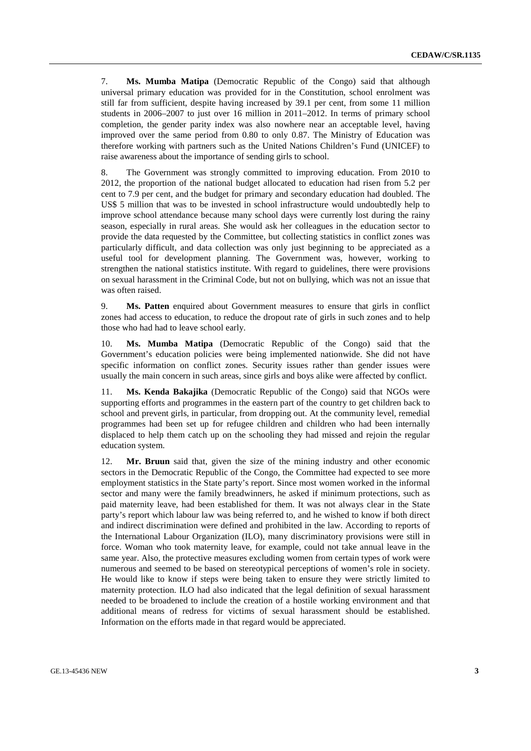7. **Ms. Mumba Matipa** (Democratic Republic of the Congo) said that although universal primary education was provided for in the Constitution, school enrolment was still far from sufficient, despite having increased by 39.1 per cent, from some 11 million students in 2006–2007 to just over 16 million in 2011–2012. In terms of primary school completion, the gender parity index was also nowhere near an acceptable level, having improved over the same period from 0.80 to only 0.87. The Ministry of Education was therefore working with partners such as the United Nations Children's Fund (UNICEF) to raise awareness about the importance of sending girls to school.

8. The Government was strongly committed to improving education. From 2010 to 2012, the proportion of the national budget allocated to education had risen from 5.2 per cent to 7.9 per cent, and the budget for primary and secondary education had doubled. The US\$ 5 million that was to be invested in school infrastructure would undoubtedly help to improve school attendance because many school days were currently lost during the rainy season, especially in rural areas. She would ask her colleagues in the education sector to provide the data requested by the Committee, but collecting statistics in conflict zones was particularly difficult, and data collection was only just beginning to be appreciated as a useful tool for development planning. The Government was, however, working to strengthen the national statistics institute. With regard to guidelines, there were provisions on sexual harassment in the Criminal Code, but not on bullying, which was not an issue that was often raised.

9. **Ms. Patten** enquired about Government measures to ensure that girls in conflict zones had access to education, to reduce the dropout rate of girls in such zones and to help those who had had to leave school early.

10. **Ms. Mumba Matipa** (Democratic Republic of the Congo) said that the Government's education policies were being implemented nationwide. She did not have specific information on conflict zones. Security issues rather than gender issues were usually the main concern in such areas, since girls and boys alike were affected by conflict.

11. **Ms. Kenda Bakajika** (Democratic Republic of the Congo) said that NGOs were supporting efforts and programmes in the eastern part of the country to get children back to school and prevent girls, in particular, from dropping out. At the community level, remedial programmes had been set up for refugee children and children who had been internally displaced to help them catch up on the schooling they had missed and rejoin the regular education system.

12. **Mr. Bruun** said that, given the size of the mining industry and other economic sectors in the Democratic Republic of the Congo, the Committee had expected to see more employment statistics in the State party's report. Since most women worked in the informal sector and many were the family breadwinners, he asked if minimum protections, such as paid maternity leave, had been established for them. It was not always clear in the State party's report which labour law was being referred to, and he wished to know if both direct and indirect discrimination were defined and prohibited in the law. According to reports of the International Labour Organization (ILO), many discriminatory provisions were still in force. Woman who took maternity leave, for example, could not take annual leave in the same year. Also, the protective measures excluding women from certain types of work were numerous and seemed to be based on stereotypical perceptions of women's role in society. He would like to know if steps were being taken to ensure they were strictly limited to maternity protection. ILO had also indicated that the legal definition of sexual harassment needed to be broadened to include the creation of a hostile working environment and that additional means of redress for victims of sexual harassment should be established. Information on the efforts made in that regard would be appreciated.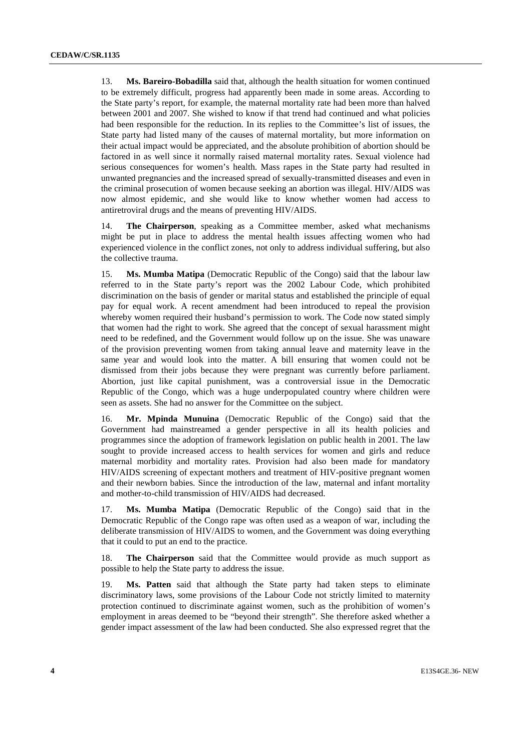13. **Ms. Bareiro-Bobadilla** said that, although the health situation for women continued to be extremely difficult, progress had apparently been made in some areas. According to the State party's report, for example, the maternal mortality rate had been more than halved between 2001 and 2007. She wished to know if that trend had continued and what policies had been responsible for the reduction. In its replies to the Committee's list of issues, the State party had listed many of the causes of maternal mortality, but more information on their actual impact would be appreciated, and the absolute prohibition of abortion should be factored in as well since it normally raised maternal mortality rates. Sexual violence had serious consequences for women's health. Mass rapes in the State party had resulted in unwanted pregnancies and the increased spread of sexually-transmitted diseases and even in the criminal prosecution of women because seeking an abortion was illegal. HIV/AIDS was now almost epidemic, and she would like to know whether women had access to antiretroviral drugs and the means of preventing HIV/AIDS.

14. **The Chairperson**, speaking as a Committee member, asked what mechanisms might be put in place to address the mental health issues affecting women who had experienced violence in the conflict zones, not only to address individual suffering, but also the collective trauma.

15. **Ms. Mumba Matipa** (Democratic Republic of the Congo) said that the labour law referred to in the State party's report was the 2002 Labour Code, which prohibited discrimination on the basis of gender or marital status and established the principle of equal pay for equal work. A recent amendment had been introduced to repeal the provision whereby women required their husband's permission to work. The Code now stated simply that women had the right to work. She agreed that the concept of sexual harassment might need to be redefined, and the Government would follow up on the issue. She was unaware of the provision preventing women from taking annual leave and maternity leave in the same year and would look into the matter. A bill ensuring that women could not be dismissed from their jobs because they were pregnant was currently before parliament. Abortion, just like capital punishment, was a controversial issue in the Democratic Republic of the Congo, which was a huge underpopulated country where children were seen as assets. She had no answer for the Committee on the subject.

16. **Mr. Mpinda Munuina** (Democratic Republic of the Congo) said that the Government had mainstreamed a gender perspective in all its health policies and programmes since the adoption of framework legislation on public health in 2001. The law sought to provide increased access to health services for women and girls and reduce maternal morbidity and mortality rates. Provision had also been made for mandatory HIV/AIDS screening of expectant mothers and treatment of HIV-positive pregnant women and their newborn babies. Since the introduction of the law, maternal and infant mortality and mother-to-child transmission of HIV/AIDS had decreased.

17. **Ms. Mumba Matipa** (Democratic Republic of the Congo) said that in the Democratic Republic of the Congo rape was often used as a weapon of war, including the deliberate transmission of HIV/AIDS to women, and the Government was doing everything that it could to put an end to the practice.

18. **The Chairperson** said that the Committee would provide as much support as possible to help the State party to address the issue.

19. **Ms. Patten** said that although the State party had taken steps to eliminate discriminatory laws, some provisions of the Labour Code not strictly limited to maternity protection continued to discriminate against women, such as the prohibition of women's employment in areas deemed to be "beyond their strength". She therefore asked whether a gender impact assessment of the law had been conducted. She also expressed regret that the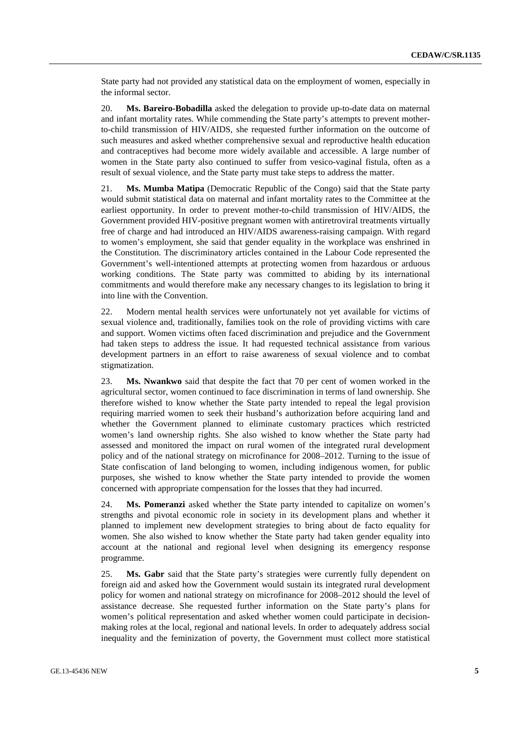State party had not provided any statistical data on the employment of women, especially in the informal sector.

20. **Ms. Bareiro-Bobadilla** asked the delegation to provide up-to-date data on maternal and infant mortality rates. While commending the State party's attempts to prevent motherto-child transmission of HIV/AIDS, she requested further information on the outcome of such measures and asked whether comprehensive sexual and reproductive health education and contraceptives had become more widely available and accessible. A large number of women in the State party also continued to suffer from vesico-vaginal fistula, often as a result of sexual violence, and the State party must take steps to address the matter.

21. **Ms. Mumba Matipa** (Democratic Republic of the Congo) said that the State party would submit statistical data on maternal and infant mortality rates to the Committee at the earliest opportunity. In order to prevent mother-to-child transmission of HIV/AIDS, the Government provided HIV-positive pregnant women with antiretroviral treatments virtually free of charge and had introduced an HIV/AIDS awareness-raising campaign. With regard to women's employment, she said that gender equality in the workplace was enshrined in the Constitution. The discriminatory articles contained in the Labour Code represented the Government's well-intentioned attempts at protecting women from hazardous or arduous working conditions. The State party was committed to abiding by its international commitments and would therefore make any necessary changes to its legislation to bring it into line with the Convention.

22. Modern mental health services were unfortunately not yet available for victims of sexual violence and, traditionally, families took on the role of providing victims with care and support. Women victims often faced discrimination and prejudice and the Government had taken steps to address the issue. It had requested technical assistance from various development partners in an effort to raise awareness of sexual violence and to combat stigmatization.

23. **Ms. Nwankwo** said that despite the fact that 70 per cent of women worked in the agricultural sector, women continued to face discrimination in terms of land ownership. She therefore wished to know whether the State party intended to repeal the legal provision requiring married women to seek their husband's authorization before acquiring land and whether the Government planned to eliminate customary practices which restricted women's land ownership rights. She also wished to know whether the State party had assessed and monitored the impact on rural women of the integrated rural development policy and of the national strategy on microfinance for 2008–2012. Turning to the issue of State confiscation of land belonging to women, including indigenous women, for public purposes, she wished to know whether the State party intended to provide the women concerned with appropriate compensation for the losses that they had incurred.

24. **Ms. Pomeranzi** asked whether the State party intended to capitalize on women's strengths and pivotal economic role in society in its development plans and whether it planned to implement new development strategies to bring about de facto equality for women. She also wished to know whether the State party had taken gender equality into account at the national and regional level when designing its emergency response programme.

25. **Ms. Gabr** said that the State party's strategies were currently fully dependent on foreign aid and asked how the Government would sustain its integrated rural development policy for women and national strategy on microfinance for 2008–2012 should the level of assistance decrease. She requested further information on the State party's plans for women's political representation and asked whether women could participate in decisionmaking roles at the local, regional and national levels. In order to adequately address social inequality and the feminization of poverty, the Government must collect more statistical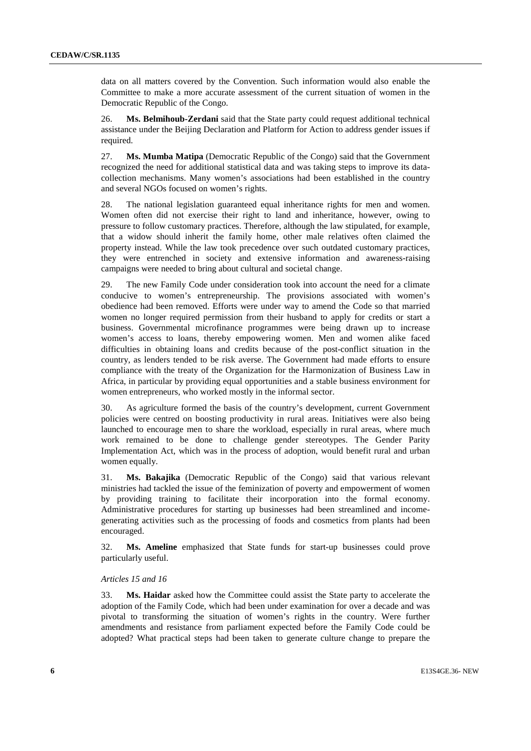data on all matters covered by the Convention. Such information would also enable the Committee to make a more accurate assessment of the current situation of women in the Democratic Republic of the Congo.

26. **Ms. Belmihoub-Zerdani** said that the State party could request additional technical assistance under the Beijing Declaration and Platform for Action to address gender issues if required.

27. **Ms. Mumba Matipa** (Democratic Republic of the Congo) said that the Government recognized the need for additional statistical data and was taking steps to improve its datacollection mechanisms. Many women's associations had been established in the country and several NGOs focused on women's rights.

28. The national legislation guaranteed equal inheritance rights for men and women. Women often did not exercise their right to land and inheritance, however, owing to pressure to follow customary practices. Therefore, although the law stipulated, for example, that a widow should inherit the family home, other male relatives often claimed the property instead. While the law took precedence over such outdated customary practices, they were entrenched in society and extensive information and awareness-raising campaigns were needed to bring about cultural and societal change.

29. The new Family Code under consideration took into account the need for a climate conducive to women's entrepreneurship. The provisions associated with women's obedience had been removed. Efforts were under way to amend the Code so that married women no longer required permission from their husband to apply for credits or start a business. Governmental microfinance programmes were being drawn up to increase women's access to loans, thereby empowering women. Men and women alike faced difficulties in obtaining loans and credits because of the post-conflict situation in the country, as lenders tended to be risk averse. The Government had made efforts to ensure compliance with the treaty of the Organization for the Harmonization of Business Law in Africa, in particular by providing equal opportunities and a stable business environment for women entrepreneurs, who worked mostly in the informal sector.

30. As agriculture formed the basis of the country's development, current Government policies were centred on boosting productivity in rural areas. Initiatives were also being launched to encourage men to share the workload, especially in rural areas, where much work remained to be done to challenge gender stereotypes. The Gender Parity Implementation Act, which was in the process of adoption, would benefit rural and urban women equally.

31. **Ms. Bakajika** (Democratic Republic of the Congo) said that various relevant ministries had tackled the issue of the feminization of poverty and empowerment of women by providing training to facilitate their incorporation into the formal economy. Administrative procedures for starting up businesses had been streamlined and incomegenerating activities such as the processing of foods and cosmetics from plants had been encouraged.

32. **Ms. Ameline** emphasized that State funds for start-up businesses could prove particularly useful.

#### *Articles 15 and 16*

33. **Ms. Haidar** asked how the Committee could assist the State party to accelerate the adoption of the Family Code, which had been under examination for over a decade and was pivotal to transforming the situation of women's rights in the country. Were further amendments and resistance from parliament expected before the Family Code could be adopted? What practical steps had been taken to generate culture change to prepare the